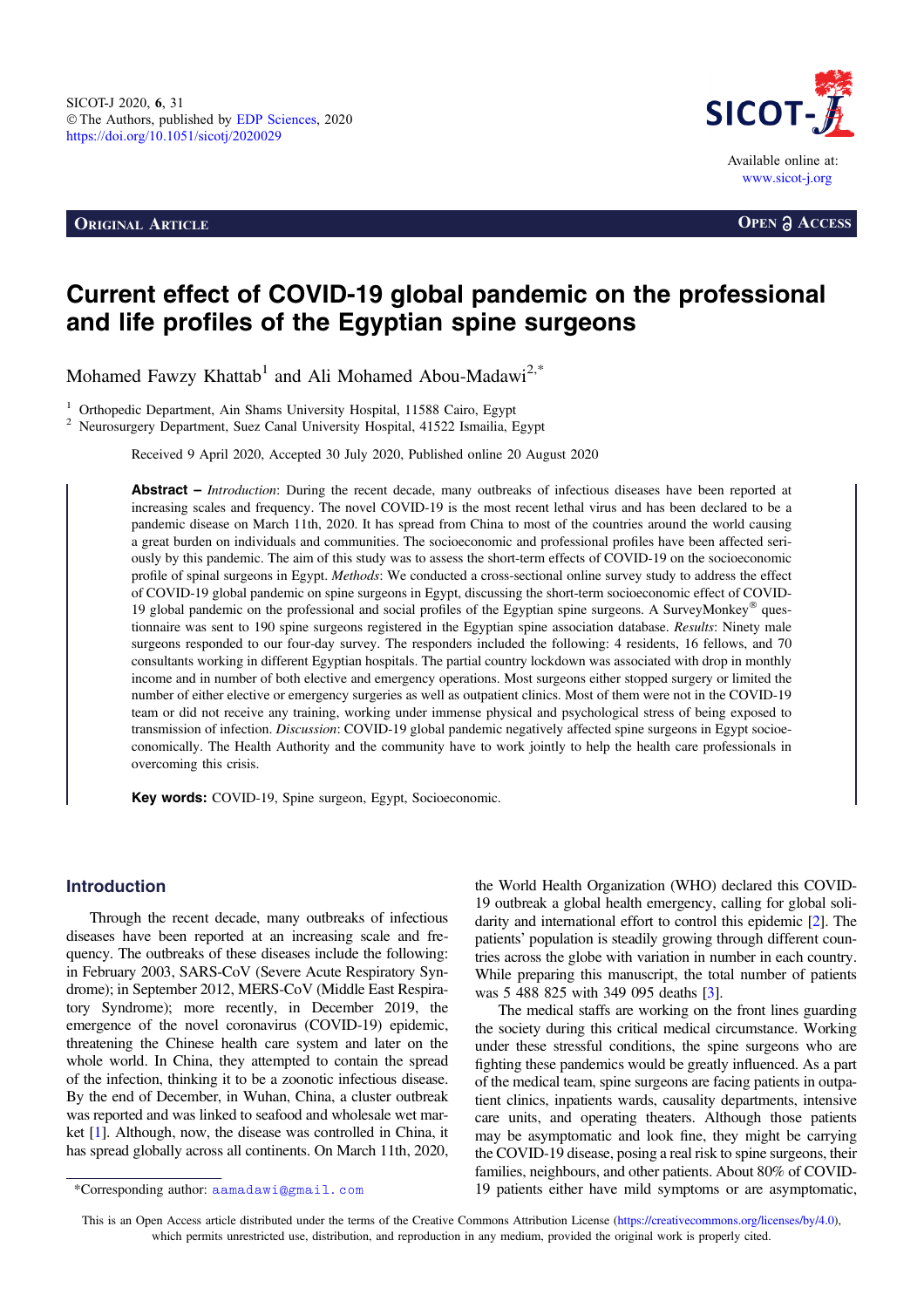**ORIGINAL ARTICLE OPEN a ACCESS** 



# Current effect of COVID-19 global pandemic on the professional and life profiles of the Egyptian spine surgeons

Mohamed Fawzy Khattab<sup>1</sup> and Ali Mohamed Abou-Madawi<sup>2,\*</sup>

<sup>1</sup> Orthopedic Department, Ain Shams University Hospital, 11588 Cairo, Egypt<sup>2</sup> Neurosurgery Department, Suez Canal University Hospital, 41522 Ismailia, Egypt

Received 9 April 2020, Accepted 30 July 2020, Published online 20 August 2020

Abstract – Introduction: During the recent decade, many outbreaks of infectious diseases have been reported at increasing scales and frequency. The novel COVID-19 is the most recent lethal virus and has been declared to be a pandemic disease on March 11th, 2020. It has spread from China to most of the countries around the world causing a great burden on individuals and communities. The socioeconomic and professional profiles have been affected seriously by this pandemic. The aim of this study was to assess the short-term effects of COVID-19 on the socioeconomic profile of spinal surgeons in Egypt. Methods: We conducted a cross-sectional online survey study to address the effect of COVID-19 global pandemic on spine surgeons in Egypt, discussing the short-term socioeconomic effect of COVID-19 global pandemic on the professional and social profiles of the Egyptian spine surgeons. A SurveyMonkey<sup>®</sup> questionnaire was sent to 190 spine surgeons registered in the Egyptian spine association database. Results: Ninety male surgeons responded to our four-day survey. The responders included the following: 4 residents, 16 fellows, and 70 consultants working in different Egyptian hospitals. The partial country lockdown was associated with drop in monthly income and in number of both elective and emergency operations. Most surgeons either stopped surgery or limited the number of either elective or emergency surgeries as well as outpatient clinics. Most of them were not in the COVID-19 team or did not receive any training, working under immense physical and psychological stress of being exposed to transmission of infection. Discussion: COVID-19 global pandemic negatively affected spine surgeons in Egypt socioeconomically. The Health Authority and the community have to work jointly to help the health care professionals in overcoming this crisis.

Key words: COVID-19, Spine surgeon, Egypt, Socioeconomic.

## Introduction

Through the recent decade, many outbreaks of infectious diseases have been reported at an increasing scale and frequency. The outbreaks of these diseases include the following: in February 2003, SARS-CoV (Severe Acute Respiratory Syndrome); in September 2012, MERS-CoV (Middle East Respiratory Syndrome); more recently, in December 2019, the emergence of the novel coronavirus (COVID-19) epidemic, threatening the Chinese health care system and later on the whole world. In China, they attempted to contain the spread of the infection, thinking it to be a zoonotic infectious disease. By the end of December, in Wuhan, China, a cluster outbreak was reported and was linked to seafood and wholesale wet market [\[1](#page-4-0)]. Although, now, the disease was controlled in China, it has spread globally across all continents. On March 11th, 2020,

the World Health Organization (WHO) declared this COVID-19 outbreak a global health emergency, calling for global solidarity and international effort to control this epidemic [\[2](#page-4-0)]. The patients' population is steadily growing through different countries across the globe with variation in number in each country. While preparing this manuscript, the total number of patients was 5 488 825 with 349 095 deaths [[3\]](#page-4-0).

The medical staffs are working on the front lines guarding the society during this critical medical circumstance. Working under these stressful conditions, the spine surgeons who are fighting these pandemics would be greatly influenced. As a part of the medical team, spine surgeons are facing patients in outpatient clinics, inpatients wards, causality departments, intensive care units, and operating theaters. Although those patients may be asymptomatic and look fine, they might be carrying the COVID-19 disease, posing a real risk to spine surgeons, their families, neighbours, and other patients. About 80% of COVID- \*Corresponding author: aamadawi@gmail.com 19 patients either have mild symptoms or are asymptomatic,

This is an Open Access article distributed under the terms of the Creative Commons Attribution License [\(https://creativecommons.org/licenses/by/4.0](https://creativecommons.org/licenses/by/4.0/)), which permits unrestricted use, distribution, and reproduction in any medium, provided the original work is properly cited.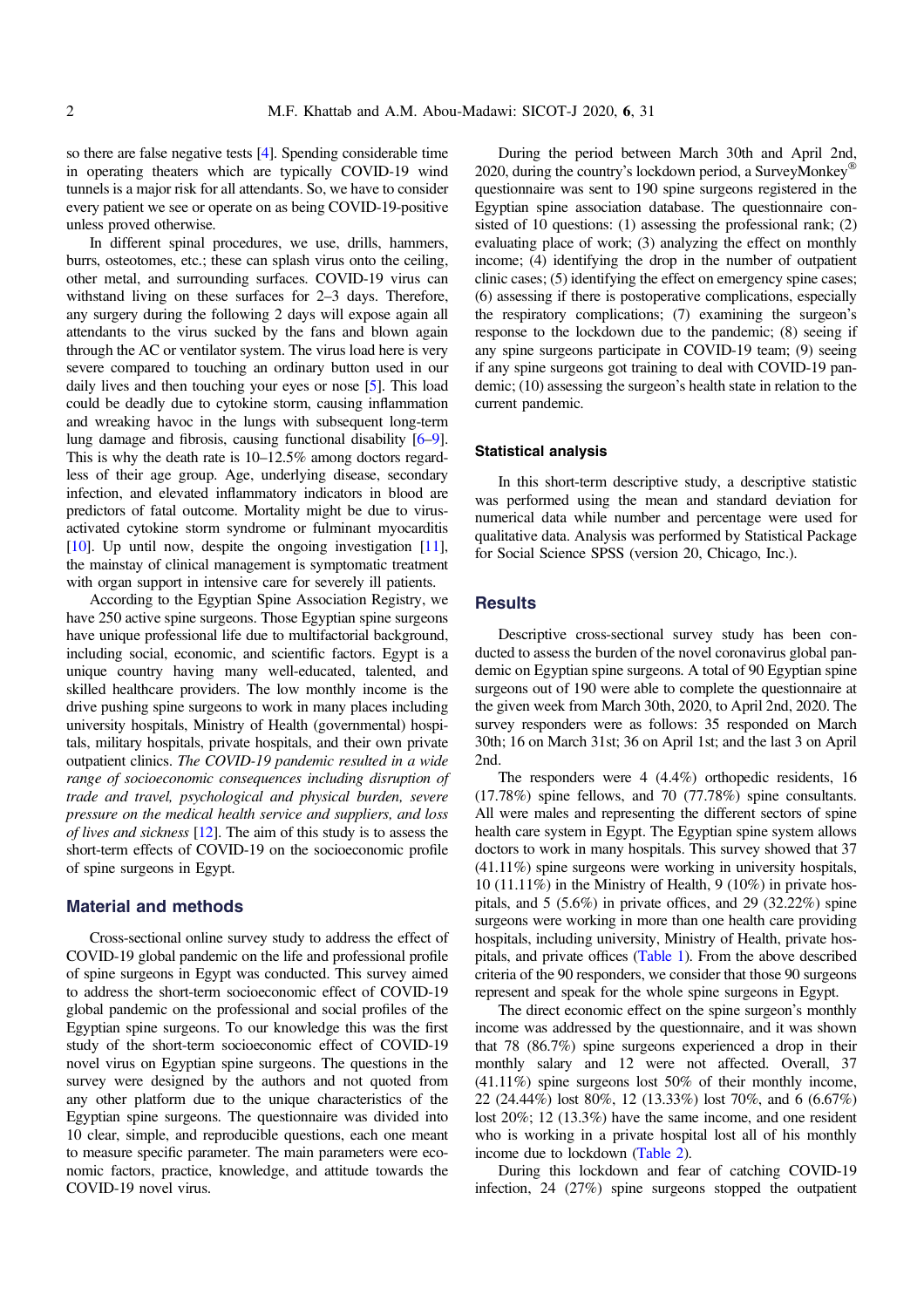so there are false negative tests [[4\]](#page-4-0). Spending considerable time in operating theaters which are typically COVID-19 wind tunnels is a major risk for all attendants. So, we have to consider every patient we see or operate on as being COVID-19-positive unless proved otherwise.

In different spinal procedures, we use, drills, hammers, burrs, osteotomes, etc.; these can splash virus onto the ceiling, other metal, and surrounding surfaces. COVID-19 virus can withstand living on these surfaces for 2–3 days. Therefore, any surgery during the following 2 days will expose again all attendants to the virus sucked by the fans and blown again through the AC or ventilator system. The virus load here is very severe compared to touching an ordinary button used in our daily lives and then touching your eyes or nose [\[5\]](#page-4-0). This load could be deadly due to cytokine storm, causing inflammation and wreaking havoc in the lungs with subsequent long-term lung damage and fibrosis, causing functional disability [[6](#page-4-0)–[9](#page-5-0)]. This is why the death rate is 10–12.5% among doctors regardless of their age group. Age, underlying disease, secondary infection, and elevated inflammatory indicators in blood are predictors of fatal outcome. Mortality might be due to virusactivated cytokine storm syndrome or fulminant myocarditis [[10](#page-5-0)]. Up until now, despite the ongoing investigation [\[11](#page-5-0)], the mainstay of clinical management is symptomatic treatment with organ support in intensive care for severely ill patients.

According to the Egyptian Spine Association Registry, we have 250 active spine surgeons. Those Egyptian spine surgeons have unique professional life due to multifactorial background, including social, economic, and scientific factors. Egypt is a unique country having many well-educated, talented, and skilled healthcare providers. The low monthly income is the drive pushing spine surgeons to work in many places including university hospitals, Ministry of Health (governmental) hospitals, military hospitals, private hospitals, and their own private outpatient clinics. The COVID-19 pandemic resulted in a wide range of socioeconomic consequences including disruption of trade and travel, psychological and physical burden, severe pressure on the medical health service and suppliers, and loss of lives and sickness [\[12\]](#page-5-0). The aim of this study is to assess the short-term effects of COVID-19 on the socioeconomic profile of spine surgeons in Egypt.

## Material and methods

Cross-sectional online survey study to address the effect of COVID-19 global pandemic on the life and professional profile of spine surgeons in Egypt was conducted. This survey aimed to address the short-term socioeconomic effect of COVID-19 global pandemic on the professional and social profiles of the Egyptian spine surgeons. To our knowledge this was the first study of the short-term socioeconomic effect of COVID-19 novel virus on Egyptian spine surgeons. The questions in the survey were designed by the authors and not quoted from any other platform due to the unique characteristics of the Egyptian spine surgeons. The questionnaire was divided into 10 clear, simple, and reproducible questions, each one meant to measure specific parameter. The main parameters were economic factors, practice, knowledge, and attitude towards the COVID-19 novel virus.

During the period between March 30th and April 2nd, 2020, during the country's lockdown period, a SurveyMonkey® questionnaire was sent to 190 spine surgeons registered in the Egyptian spine association database. The questionnaire consisted of 10 questions: (1) assessing the professional rank; (2) evaluating place of work; (3) analyzing the effect on monthly income; (4) identifying the drop in the number of outpatient clinic cases; (5) identifying the effect on emergency spine cases; (6) assessing if there is postoperative complications, especially the respiratory complications; (7) examining the surgeon's response to the lockdown due to the pandemic; (8) seeing if any spine surgeons participate in COVID-19 team; (9) seeing if any spine surgeons got training to deal with COVID-19 pandemic; (10) assessing the surgeon's health state in relation to the current pandemic.

#### Statistical analysis

In this short-term descriptive study, a descriptive statistic was performed using the mean and standard deviation for numerical data while number and percentage were used for qualitative data. Analysis was performed by Statistical Package for Social Science SPSS (version 20, Chicago, Inc.).

## **Results**

Descriptive cross-sectional survey study has been conducted to assess the burden of the novel coronavirus global pandemic on Egyptian spine surgeons. A total of 90 Egyptian spine surgeons out of 190 were able to complete the questionnaire at the given week from March 30th, 2020, to April 2nd, 2020. The survey responders were as follows: 35 responded on March 30th; 16 on March 31st; 36 on April 1st; and the last 3 on April 2nd.

The responders were 4 (4.4%) orthopedic residents, 16 (17.78%) spine fellows, and 70 (77.78%) spine consultants. All were males and representing the different sectors of spine health care system in Egypt. The Egyptian spine system allows doctors to work in many hospitals. This survey showed that 37 (41.11%) spine surgeons were working in university hospitals, 10 (11.11%) in the Ministry of Health, 9 (10%) in private hospitals, and 5 (5.6%) in private offices, and 29 (32.22%) spine surgeons were working in more than one health care providing hospitals, including university, Ministry of Health, private hospitals, and private offices [\(Table 1](#page-2-0)). From the above described criteria of the 90 responders, we consider that those 90 surgeons represent and speak for the whole spine surgeons in Egypt.

The direct economic effect on the spine surgeon's monthly income was addressed by the questionnaire, and it was shown that 78 (86.7%) spine surgeons experienced a drop in their monthly salary and 12 were not affected. Overall, 37 (41.11%) spine surgeons lost 50% of their monthly income, 22 (24.44%) lost 80%, 12 (13.33%) lost 70%, and 6 (6.67%) lost 20%; 12 (13.3%) have the same income, and one resident who is working in a private hospital lost all of his monthly income due to lockdown ([Table 2\)](#page-2-0).

During this lockdown and fear of catching COVID-19 infection, 24 (27%) spine surgeons stopped the outpatient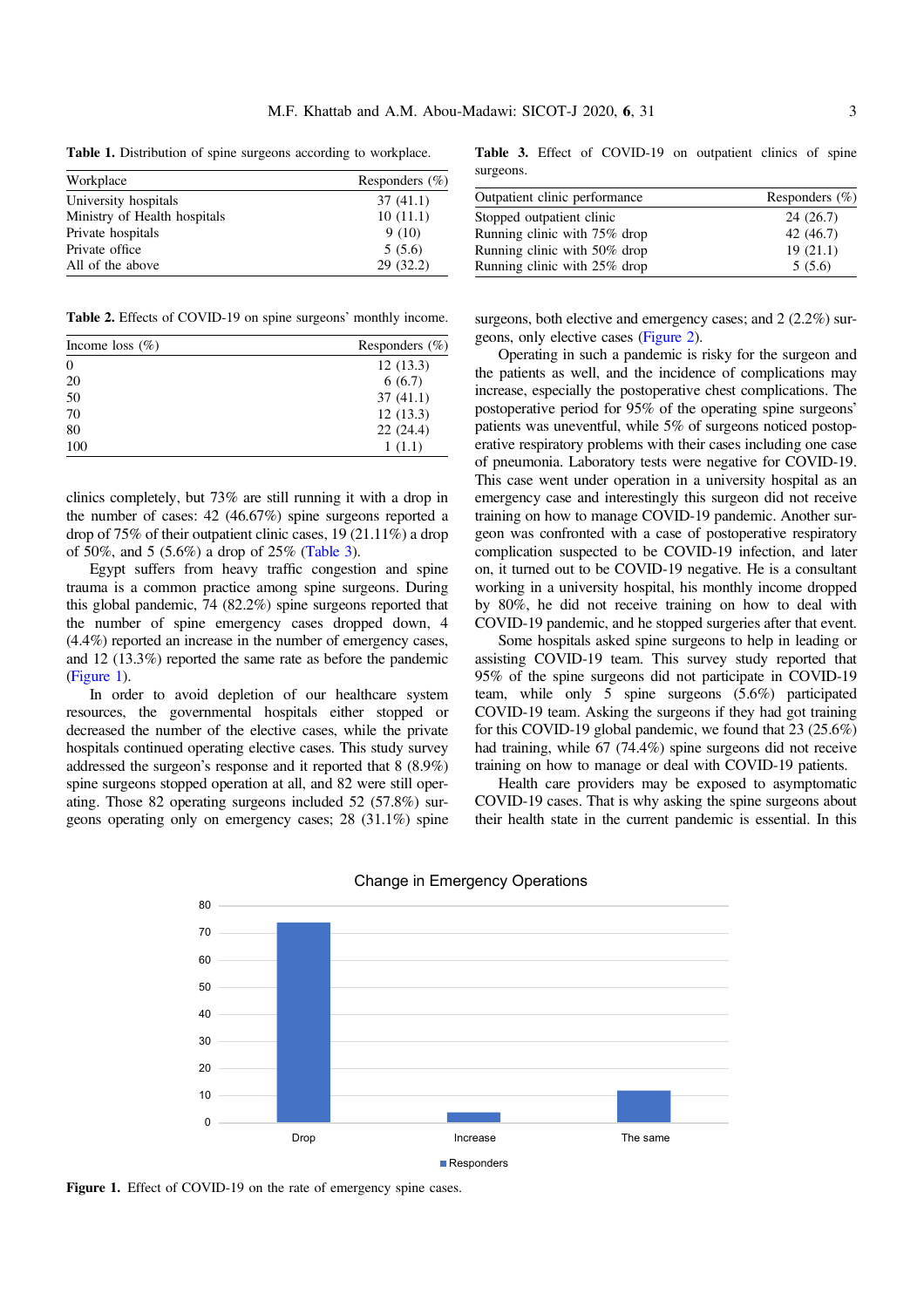<span id="page-2-0"></span>Table 1. Distribution of spine surgeons according to workplace.

| Workplace                    | Responders $(\% )$ |
|------------------------------|--------------------|
| University hospitals         | 37(41.1)           |
| Ministry of Health hospitals | 10(11.1)           |
| Private hospitals            | 9(10)              |
| Private office               | 5(5.6)             |
| All of the above             | 29(32.2)           |

Table 2. Effects of COVID-19 on spine surgeons' monthly income.

| Income loss $(\%)$ | Responders $(\% )$ |
|--------------------|--------------------|
| $\overline{0}$     | 12(13.3)           |
| 20                 | 6(6.7)             |
| 50                 | 37(41.1)           |
| 70                 | 12(13.3)           |
| 80                 | 22(24.4)           |
| 100                | 1(1.1)             |

clinics completely, but 73% are still running it with a drop in the number of cases: 42 (46.67%) spine surgeons reported a drop of 75% of their outpatient clinic cases, 19 (21.11%) a drop of 50%, and 5 (5.6%) a drop of 25% (Table 3).

Egypt suffers from heavy traffic congestion and spine trauma is a common practice among spine surgeons. During this global pandemic, 74 (82.2%) spine surgeons reported that the number of spine emergency cases dropped down, 4 (4.4%) reported an increase in the number of emergency cases, and 12 (13.3%) reported the same rate as before the pandemic (Figure 1).

In order to avoid depletion of our healthcare system resources, the governmental hospitals either stopped or decreased the number of the elective cases, while the private hospitals continued operating elective cases. This study survey addressed the surgeon's response and it reported that 8 (8.9%) spine surgeons stopped operation at all, and 82 were still operating. Those 82 operating surgeons included 52 (57.8%) surgeons operating only on emergency cases; 28 (31.1%) spine

Table 3. Effect of COVID-19 on outpatient clinics of spine surgeons.

| Outpatient clinic performance | Responders $(\% )$ |
|-------------------------------|--------------------|
| Stopped outpatient clinic     | 24(26.7)           |
| Running clinic with 75% drop  | 42 (46.7)          |
| Running clinic with 50% drop  | 19(21.1)           |
| Running clinic with 25% drop  | 5(5.6)             |

surgeons, both elective and emergency cases; and 2 (2.2%) surgeons, only elective cases ([Figure 2\)](#page-3-0).

Operating in such a pandemic is risky for the surgeon and the patients as well, and the incidence of complications may increase, especially the postoperative chest complications. The postoperative period for 95% of the operating spine surgeons' patients was uneventful, while 5% of surgeons noticed postoperative respiratory problems with their cases including one case of pneumonia. Laboratory tests were negative for COVID-19. This case went under operation in a university hospital as an emergency case and interestingly this surgeon did not receive training on how to manage COVID-19 pandemic. Another surgeon was confronted with a case of postoperative respiratory complication suspected to be COVID-19 infection, and later on, it turned out to be COVID-19 negative. He is a consultant working in a university hospital, his monthly income dropped by 80%, he did not receive training on how to deal with COVID-19 pandemic, and he stopped surgeries after that event.

Some hospitals asked spine surgeons to help in leading or assisting COVID-19 team. This survey study reported that 95% of the spine surgeons did not participate in COVID-19 team, while only 5 spine surgeons (5.6%) participated COVID-19 team. Asking the surgeons if they had got training for this COVID-19 global pandemic, we found that 23 (25.6%) had training, while 67 (74.4%) spine surgeons did not receive training on how to manage or deal with COVID-19 patients.

Health care providers may be exposed to asymptomatic COVID-19 cases. That is why asking the spine surgeons about their health state in the current pandemic is essential. In this



Change in Emergency Operations

Figure 1. Effect of COVID-19 on the rate of emergency spine cases.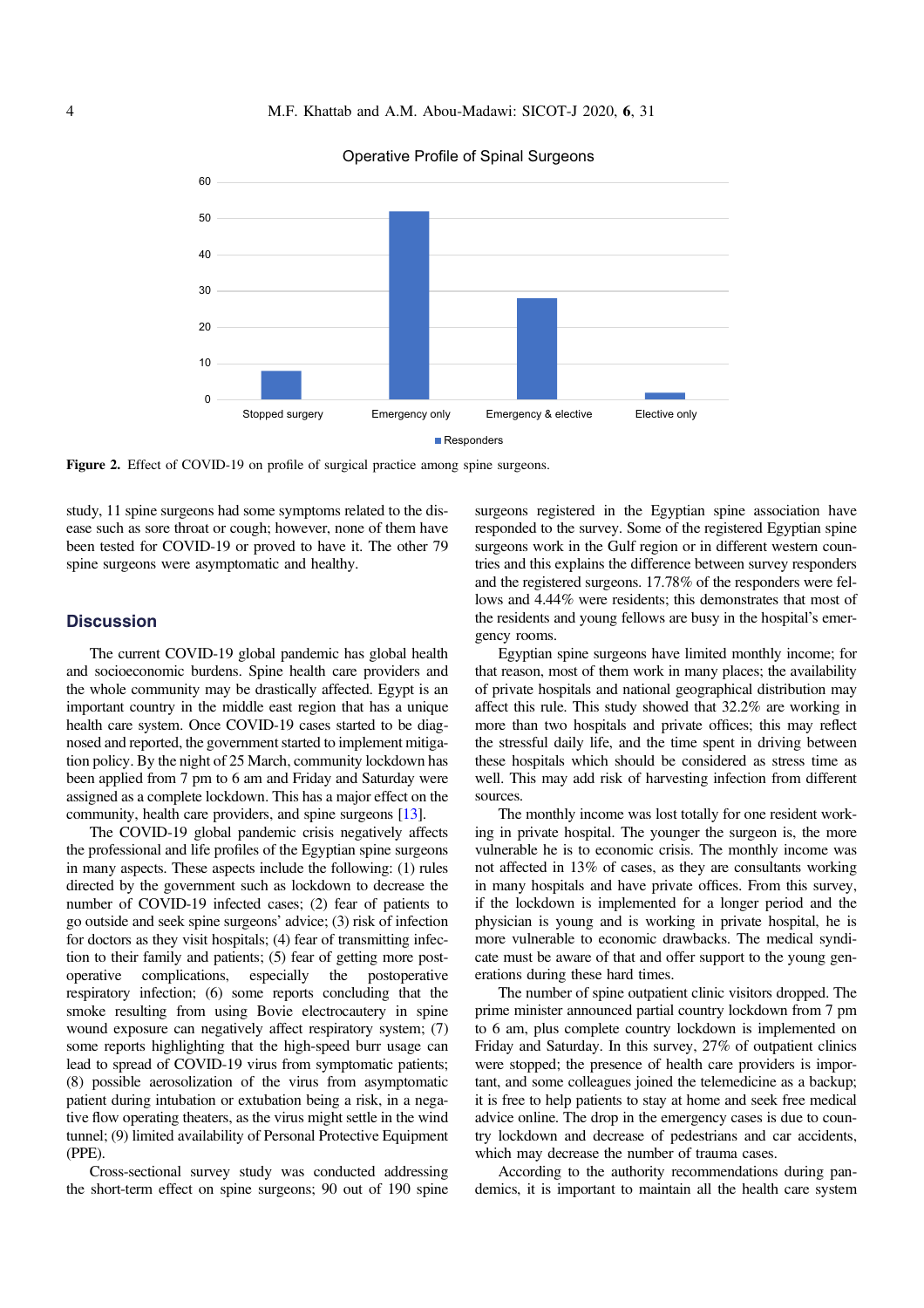<span id="page-3-0"></span>

#### Operative Profile of Spinal Surgeons

Figure 2. Effect of COVID-19 on profile of surgical practice among spine surgeons.

study, 11 spine surgeons had some symptoms related to the disease such as sore throat or cough; however, none of them have been tested for COVID-19 or proved to have it. The other 79 spine surgeons were asymptomatic and healthy.

# **Discussion**

The current COVID-19 global pandemic has global health and socioeconomic burdens. Spine health care providers and the whole community may be drastically affected. Egypt is an important country in the middle east region that has a unique health care system. Once COVID-19 cases started to be diagnosed and reported, the government started to implement mitigation policy. By the night of 25 March, community lockdown has been applied from 7 pm to 6 am and Friday and Saturday were assigned as a complete lockdown. This has a major effect on the community, health care providers, and spine surgeons [\[13](#page-5-0)].

The COVID-19 global pandemic crisis negatively affects the professional and life profiles of the Egyptian spine surgeons in many aspects. These aspects include the following: (1) rules directed by the government such as lockdown to decrease the number of COVID-19 infected cases; (2) fear of patients to go outside and seek spine surgeons' advice; (3) risk of infection for doctors as they visit hospitals; (4) fear of transmitting infection to their family and patients; (5) fear of getting more postoperative complications, especially the postoperative respiratory infection; (6) some reports concluding that the smoke resulting from using Bovie electrocautery in spine wound exposure can negatively affect respiratory system; (7) some reports highlighting that the high-speed burr usage can lead to spread of COVID-19 virus from symptomatic patients; (8) possible aerosolization of the virus from asymptomatic patient during intubation or extubation being a risk, in a negative flow operating theaters, as the virus might settle in the wind tunnel; (9) limited availability of Personal Protective Equipment (PPE).

Cross-sectional survey study was conducted addressing the short-term effect on spine surgeons; 90 out of 190 spine surgeons registered in the Egyptian spine association have responded to the survey. Some of the registered Egyptian spine surgeons work in the Gulf region or in different western countries and this explains the difference between survey responders and the registered surgeons. 17.78% of the responders were fellows and 4.44% were residents; this demonstrates that most of the residents and young fellows are busy in the hospital's emergency rooms.

Egyptian spine surgeons have limited monthly income; for that reason, most of them work in many places; the availability of private hospitals and national geographical distribution may affect this rule. This study showed that 32.2% are working in more than two hospitals and private offices; this may reflect the stressful daily life, and the time spent in driving between these hospitals which should be considered as stress time as well. This may add risk of harvesting infection from different sources.

The monthly income was lost totally for one resident working in private hospital. The younger the surgeon is, the more vulnerable he is to economic crisis. The monthly income was not affected in 13% of cases, as they are consultants working in many hospitals and have private offices. From this survey, if the lockdown is implemented for a longer period and the physician is young and is working in private hospital, he is more vulnerable to economic drawbacks. The medical syndicate must be aware of that and offer support to the young generations during these hard times.

The number of spine outpatient clinic visitors dropped. The prime minister announced partial country lockdown from 7 pm to 6 am, plus complete country lockdown is implemented on Friday and Saturday. In this survey, 27% of outpatient clinics were stopped; the presence of health care providers is important, and some colleagues joined the telemedicine as a backup; it is free to help patients to stay at home and seek free medical advice online. The drop in the emergency cases is due to country lockdown and decrease of pedestrians and car accidents, which may decrease the number of trauma cases.

According to the authority recommendations during pandemics, it is important to maintain all the health care system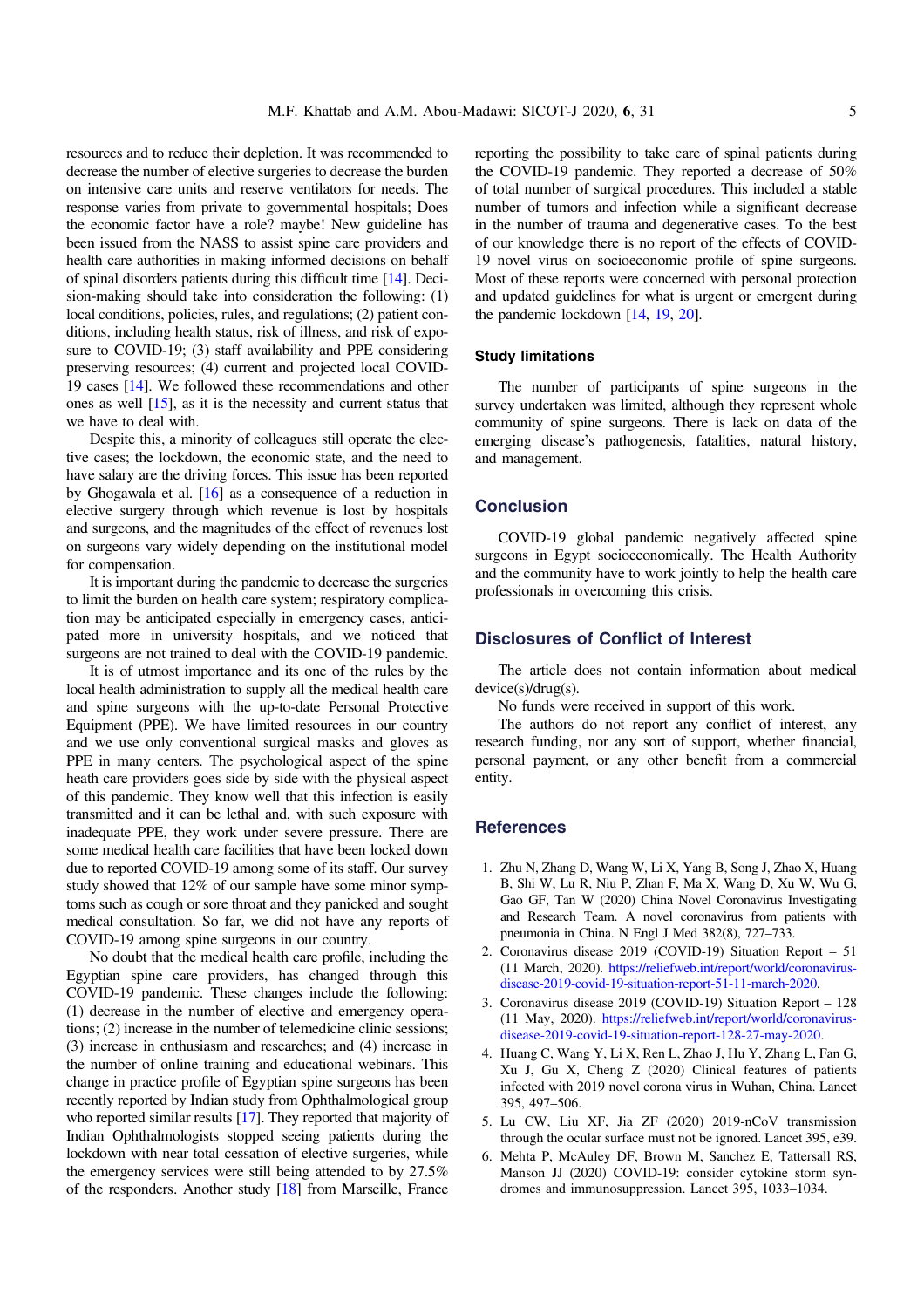<span id="page-4-0"></span>resources and to reduce their depletion. It was recommended to decrease the number of elective surgeries to decrease the burden on intensive care units and reserve ventilators for needs. The response varies from private to governmental hospitals; Does the economic factor have a role? maybe! New guideline has been issued from the NASS to assist spine care providers and health care authorities in making informed decisions on behalf of spinal disorders patients during this difficult time [[14](#page-5-0)]. Decision-making should take into consideration the following: (1) local conditions, policies, rules, and regulations; (2) patient conditions, including health status, risk of illness, and risk of exposure to COVID-19; (3) staff availability and PPE considering preserving resources; (4) current and projected local COVID-19 cases [\[14](#page-5-0)]. We followed these recommendations and other ones as well [\[15\]](#page-5-0), as it is the necessity and current status that we have to deal with.

Despite this, a minority of colleagues still operate the elective cases; the lockdown, the economic state, and the need to have salary are the driving forces. This issue has been reported by Ghogawala et al. [[16](#page-5-0)] as a consequence of a reduction in elective surgery through which revenue is lost by hospitals and surgeons, and the magnitudes of the effect of revenues lost on surgeons vary widely depending on the institutional model for compensation.

It is important during the pandemic to decrease the surgeries to limit the burden on health care system; respiratory complication may be anticipated especially in emergency cases, anticipated more in university hospitals, and we noticed that surgeons are not trained to deal with the COVID-19 pandemic.

It is of utmost importance and its one of the rules by the local health administration to supply all the medical health care and spine surgeons with the up-to-date Personal Protective Equipment (PPE). We have limited resources in our country and we use only conventional surgical masks and gloves as PPE in many centers. The psychological aspect of the spine heath care providers goes side by side with the physical aspect of this pandemic. They know well that this infection is easily transmitted and it can be lethal and, with such exposure with inadequate PPE, they work under severe pressure. There are some medical health care facilities that have been locked down due to reported COVID-19 among some of its staff. Our survey study showed that 12% of our sample have some minor symptoms such as cough or sore throat and they panicked and sought medical consultation. So far, we did not have any reports of COVID-19 among spine surgeons in our country.

No doubt that the medical health care profile, including the Egyptian spine care providers, has changed through this COVID-19 pandemic. These changes include the following: (1) decrease in the number of elective and emergency operations; (2) increase in the number of telemedicine clinic sessions; (3) increase in enthusiasm and researches; and (4) increase in the number of online training and educational webinars. This change in practice profile of Egyptian spine surgeons has been recently reported by Indian study from Ophthalmological group who reported similar results [[17](#page-5-0)]. They reported that majority of Indian Ophthalmologists stopped seeing patients during the lockdown with near total cessation of elective surgeries, while the emergency services were still being attended to by 27.5% of the responders. Another study [[18](#page-5-0)] from Marseille, France

reporting the possibility to take care of spinal patients during the COVID-19 pandemic. They reported a decrease of 50% of total number of surgical procedures. This included a stable number of tumors and infection while a significant decrease in the number of trauma and degenerative cases. To the best of our knowledge there is no report of the effects of COVID-19 novel virus on socioeconomic profile of spine surgeons. Most of these reports were concerned with personal protection and updated guidelines for what is urgent or emergent during the pandemic lockdown [[14](#page-5-0), [19,](#page-5-0) [20](#page-5-0)].

#### Study limitations

The number of participants of spine surgeons in the survey undertaken was limited, although they represent whole community of spine surgeons. There is lack on data of the emerging disease's pathogenesis, fatalities, natural history, and management.

## **Conclusion**

COVID-19 global pandemic negatively affected spine surgeons in Egypt socioeconomically. The Health Authority and the community have to work jointly to help the health care professionals in overcoming this crisis.

# Disclosures of Conflict of Interest

The article does not contain information about medical device(s)/drug(s).

No funds were received in support of this work.

The authors do not report any conflict of interest, any research funding, nor any sort of support, whether financial, personal payment, or any other benefit from a commercial entity.

#### **References**

- 1. Zhu N, Zhang D, Wang W, Li X, Yang B, Song J, Zhao X, Huang B, Shi W, Lu R, Niu P, Zhan F, Ma X, Wang D, Xu W, Wu G, Gao GF, Tan W (2020) China Novel Coronavirus Investigating and Research Team. A novel coronavirus from patients with pneumonia in China. N Engl J Med 382(8), 727–733.
- 2. Coronavirus disease 2019 (COVID-19) Situation Report 51 (11 March, 2020). [https://reliefweb.int/report/world/coronavirus](https://reliefweb.int/report/world/coronavirus- disease-2019-covid-19-situation-report-51-11-march-2020)[disease-2019-covid-19-situation-report-51-11-march-2020](https://reliefweb.int/report/world/coronavirus- disease-2019-covid-19-situation-report-51-11-march-2020).
- 3. Coronavirus disease 2019 (COVID-19) Situation Report 128 (11 May, 2020). [https://reliefweb.int/report/world/coronavirus](https://reliefweb.int/report/world/coronavirus-disease-2019-covid-19-situation-report-128-27-may-2020)[disease-2019-covid-19-situation-report-128-27-may-2020.](https://reliefweb.int/report/world/coronavirus-disease-2019-covid-19-situation-report-128-27-may-2020)
- 4. Huang C, Wang Y, Li X, Ren L, Zhao J, Hu Y, Zhang L, Fan G, Xu J, Gu X, Cheng Z (2020) Clinical features of patients infected with 2019 novel corona virus in Wuhan, China. Lancet 395, 497–506.
- 5. Lu CW, Liu XF, Jia ZF (2020) 2019-nCoV transmission through the ocular surface must not be ignored. Lancet 395, e39.
- 6. Mehta P, McAuley DF, Brown M, Sanchez E, Tattersall RS, Manson JJ (2020) COVID-19: consider cytokine storm syndromes and immunosuppression. Lancet 395, 1033–1034.